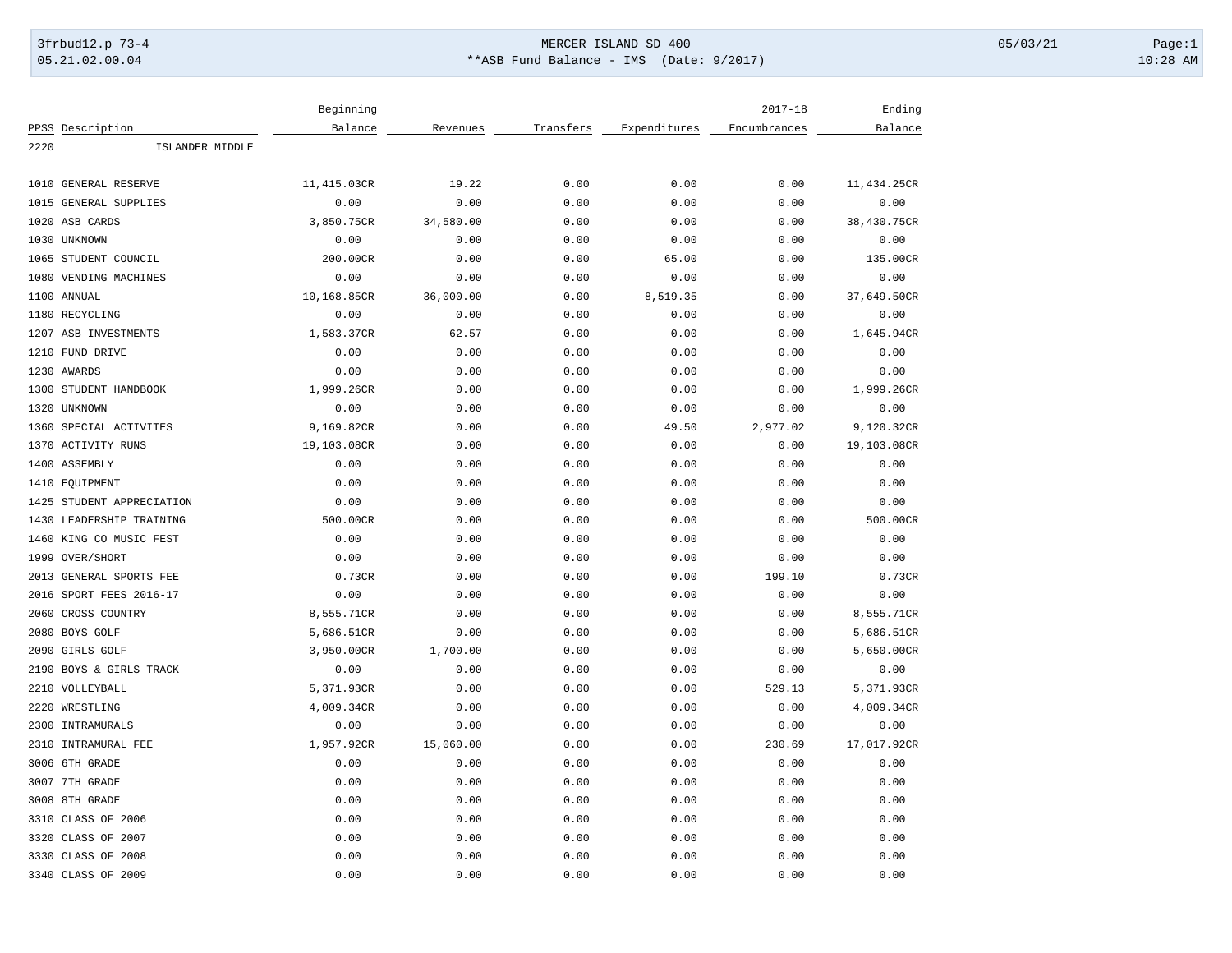## 3frbud12.p 73-4 Page:1 Page:1 05.21.02.00.04 \*\*ASB Fund Balance - IMS (Date: 9/2017) 10:28 AM

|      |                         | Beginning   |           |           |              | $2017 - 18$  | Ending      |
|------|-------------------------|-------------|-----------|-----------|--------------|--------------|-------------|
|      | PPSS Description        | Balance     | Revenues  | Transfers | Expenditures | Encumbrances | Balance     |
| 2220 | ISLANDER MIDDLE         |             |           |           |              |              |             |
|      |                         |             |           |           |              |              |             |
|      | 1010 GENERAL RESERVE    | 11,415.03CR | 19.22     | 0.00      | 0.00         | 0.00         | 11,434.25CR |
|      | 1015 GENERAL SUPPLIES   | 0.00        | 0.00      | 0.00      | 0.00         | 0.00         | 0.00        |
|      | 1020 ASB CARDS          | 3,850.75CR  | 34,580.00 | 0.00      | 0.00         | 0.00         | 38,430.75CR |
|      | 1030 UNKNOWN            | 0.00        | 0.00      | 0.00      | 0.00         | 0.00         | 0.00        |
|      | 1065 STUDENT COUNCIL    | 200.00CR    | 0.00      | 0.00      | 65.00        | 0.00         | 135.00CR    |
| 1080 | VENDING MACHINES        | 0.00        | 0.00      | 0.00      | 0.00         | 0.00         | 0.00        |
|      | 1100 ANNUAL             | 10,168.85CR | 36,000.00 | 0.00      | 8,519.35     | 0.00         | 37,649.50CR |
|      | 1180 RECYCLING          | 0.00        | 0.00      | 0.00      | 0.00         | 0.00         | 0.00        |
|      | 1207 ASB INVESTMENTS    | 1,583.37CR  | 62.57     | 0.00      | 0.00         | 0.00         | 1,645.94CR  |
|      | 1210 FUND DRIVE         | 0.00        | 0.00      | 0.00      | 0.00         | 0.00         | 0.00        |
|      | 1230 AWARDS             | 0.00        | 0.00      | 0.00      | 0.00         | 0.00         | 0.00        |
|      | 1300 STUDENT HANDBOOK   | 1,999.26CR  | 0.00      | 0.00      | 0.00         | 0.00         | 1,999.26CR  |
|      | 1320 UNKNOWN            | 0.00        | 0.00      | 0.00      | 0.00         | 0.00         | 0.00        |
|      | 1360 SPECIAL ACTIVITES  | 9,169.82CR  | 0.00      | 0.00      | 49.50        | 2,977.02     | 9,120.32CR  |
|      | 1370 ACTIVITY RUNS      | 19,103.08CR | 0.00      | 0.00      | 0.00         | 0.00         | 19,103.08CR |
|      | 1400 ASSEMBLY           | 0.00        | 0.00      | 0.00      | 0.00         | 0.00         | 0.00        |
|      | 1410 EQUIPMENT          | 0.00        | 0.00      | 0.00      | 0.00         | 0.00         | 0.00        |
| 1425 | STUDENT APPRECIATION    | 0.00        | 0.00      | 0.00      | 0.00         | 0.00         | 0.00        |
| 1430 | LEADERSHIP TRAINING     | 500.00CR    | 0.00      | 0.00      | 0.00         | 0.00         | 500.00CR    |
|      | 1460 KING CO MUSIC FEST | 0.00        | 0.00      | 0.00      | 0.00         | 0.00         | 0.00        |
|      | 1999 OVER/SHORT         | 0.00        | 0.00      | 0.00      | 0.00         | 0.00         | 0.00        |
|      | 2013 GENERAL SPORTS FEE | 0.73CR      | 0.00      | 0.00      | 0.00         | 199.10       | 0.73CR      |
|      | 2016 SPORT FEES 2016-17 | 0.00        | 0.00      | 0.00      | 0.00         | 0.00         | 0.00        |
|      | 2060 CROSS COUNTRY      | 8,555.71CR  | 0.00      | 0.00      | 0.00         | 0.00         | 8,555.71CR  |
|      | 2080 BOYS GOLF          | 5,686.51CR  | 0.00      | 0.00      | 0.00         | 0.00         | 5,686.51CR  |
|      | 2090 GIRLS GOLF         | 3,950.00CR  | 1,700.00  | 0.00      | 0.00         | 0.00         | 5,650.00CR  |
|      | 2190 BOYS & GIRLS TRACK | 0.00        | 0.00      | 0.00      | 0.00         | 0.00         | 0.00        |
|      | 2210 VOLLEYBALL         | 5,371.93CR  | 0.00      | 0.00      | 0.00         | 529.13       | 5,371.93CR  |
|      | 2220 WRESTLING          | 4,009.34CR  | 0.00      | 0.00      | 0.00         | 0.00         | 4,009.34CR  |
|      | 2300 INTRAMURALS        | 0.00        | 0.00      | 0.00      | 0.00         | 0.00         | 0.00        |
|      | 2310 INTRAMURAL FEE     | 1,957.92CR  | 15,060.00 | 0.00      | 0.00         | 230.69       | 17,017.92CR |
|      | 3006 6TH GRADE          | 0.00        | 0.00      | 0.00      | 0.00         | 0.00         | 0.00        |
|      | 3007 7TH GRADE          | 0.00        | 0.00      | 0.00      | 0.00         | 0.00         | 0.00        |
|      | 3008 8TH GRADE          | 0.00        | 0.00      | 0.00      | 0.00         | 0.00         | 0.00        |
|      | 3310 CLASS OF 2006      | 0.00        | 0.00      | 0.00      | 0.00         | 0.00         | 0.00        |
|      | 3320 CLASS OF 2007      | 0.00        | 0.00      | 0.00      | 0.00         | 0.00         | 0.00        |
|      | 3330 CLASS OF 2008      | 0.00        | 0.00      | 0.00      | 0.00         | 0.00         | 0.00        |
|      |                         |             |           |           |              |              |             |
|      | 3340 CLASS OF 2009      | 0.00        | 0.00      | 0.00      | 0.00         | 0.00         | 0.00        |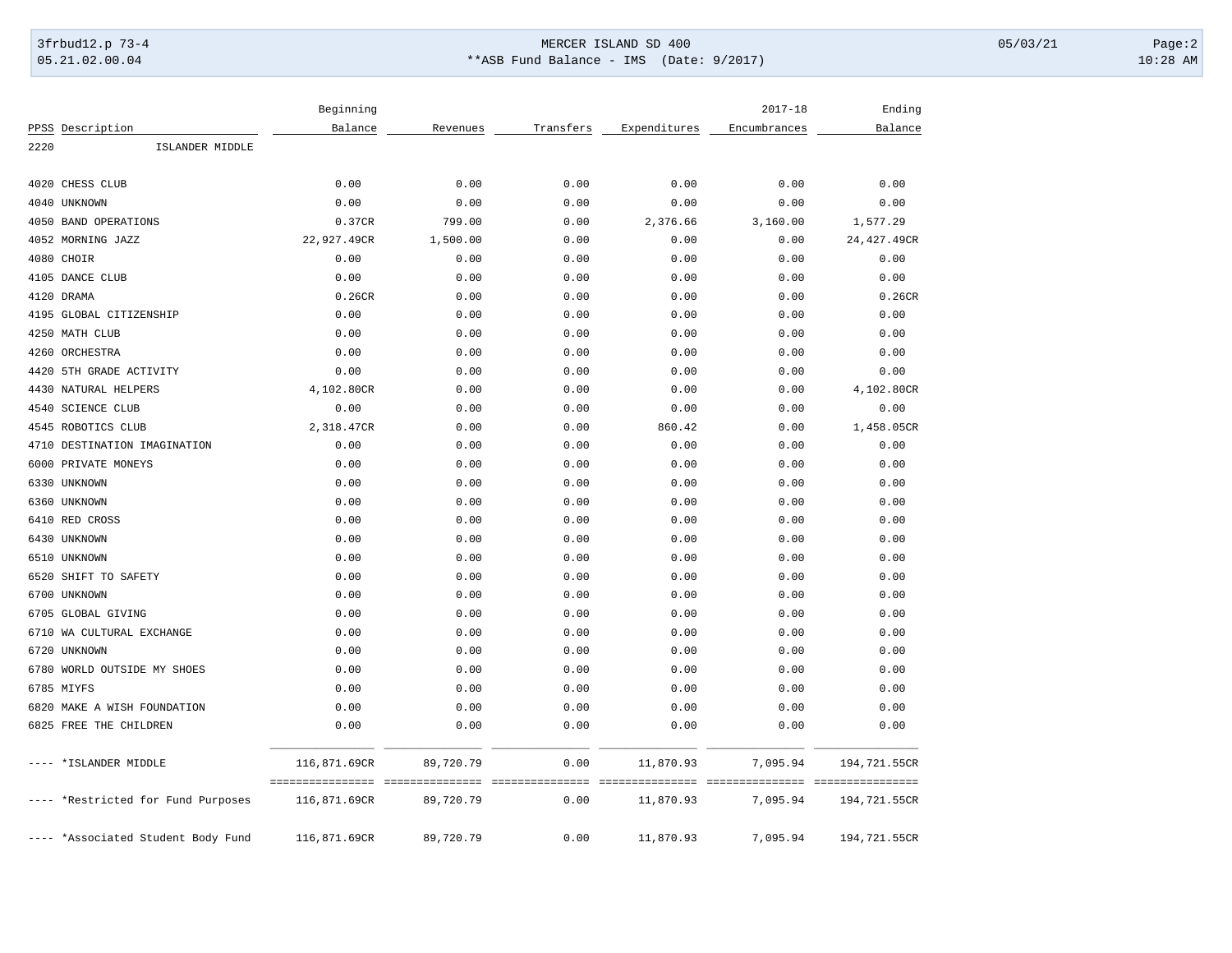## 3frbud12.p 73-4 Page:2 05.21.02.00.04 \*\*ASB Fund Balance - IMS (Date: 9/2017) 10:28 AM

|      |                                    | Beginning    |           |           |              | $2017 - 18$  | Ending       |
|------|------------------------------------|--------------|-----------|-----------|--------------|--------------|--------------|
|      | PPSS Description                   | Balance      | Revenues  | Transfers | Expenditures | Encumbrances | Balance      |
| 2220 | ISLANDER MIDDLE                    |              |           |           |              |              |              |
| 4020 | CHESS CLUB                         | 0.00         | 0.00      | 0.00      | 0.00         | 0.00         | 0.00         |
|      | 4040 UNKNOWN                       | 0.00         | 0.00      | 0.00      | 0.00         | 0.00         | 0.00         |
|      | 4050 BAND OPERATIONS               | 0.37CR       | 799.00    | 0.00      | 2,376.66     | 3,160.00     | 1,577.29     |
|      | 4052 MORNING JAZZ                  | 22,927.49CR  | 1,500.00  | 0.00      | 0.00         | 0.00         | 24,427.49CR  |
|      | 4080 CHOIR                         | 0.00         | 0.00      | 0.00      | 0.00         | 0.00         | 0.00         |
|      | 4105 DANCE CLUB                    | 0.00         | 0.00      | 0.00      | 0.00         | 0.00         | 0.00         |
|      | 4120 DRAMA                         | 0.26CR       | 0.00      | 0.00      | 0.00         | 0.00         | 0.26CR       |
|      | 4195 GLOBAL CITIZENSHIP            | 0.00         | 0.00      | 0.00      | 0.00         | 0.00         | 0.00         |
|      | 4250 MATH CLUB                     | 0.00         | 0.00      | 0.00      | 0.00         | 0.00         | 0.00         |
|      | 4260 ORCHESTRA                     | 0.00         | 0.00      | 0.00      | 0.00         | 0.00         | 0.00         |
|      | 4420 5TH GRADE ACTIVITY            | 0.00         | 0.00      | 0.00      | 0.00         | 0.00         | 0.00         |
|      | 4430 NATURAL HELPERS               | 4,102.80CR   | 0.00      | 0.00      | 0.00         | 0.00         | 4,102.80CR   |
|      | 4540 SCIENCE CLUB                  | 0.00         | 0.00      | 0.00      | 0.00         | 0.00         | 0.00         |
|      | 4545 ROBOTICS CLUB                 | 2,318.47CR   | 0.00      | 0.00      | 860.42       | 0.00         | 1,458.05CR   |
|      | 4710 DESTINATION IMAGINATION       | 0.00         | 0.00      | 0.00      | 0.00         | 0.00         | 0.00         |
|      | 6000 PRIVATE MONEYS                | 0.00         | 0.00      | 0.00      | 0.00         | 0.00         | 0.00         |
|      | 6330 UNKNOWN                       | 0.00         | 0.00      | 0.00      | 0.00         | 0.00         | 0.00         |
|      | 6360 UNKNOWN                       | 0.00         | 0.00      | 0.00      | 0.00         | 0.00         | 0.00         |
|      | 6410 RED CROSS                     | 0.00         | 0.00      | 0.00      | 0.00         | 0.00         | 0.00         |
|      | 6430 UNKNOWN                       | 0.00         | 0.00      | 0.00      | 0.00         | 0.00         | 0.00         |
|      | 6510 UNKNOWN                       | 0.00         | 0.00      | 0.00      | 0.00         | 0.00         | 0.00         |
|      | 6520 SHIFT TO SAFETY               | 0.00         | 0.00      | 0.00      | 0.00         | 0.00         | 0.00         |
|      | 6700 UNKNOWN                       | 0.00         | 0.00      | 0.00      | 0.00         | 0.00         | 0.00         |
|      | 6705 GLOBAL GIVING                 | 0.00         | 0.00      | 0.00      | 0.00         | 0.00         | 0.00         |
|      | 6710 WA CULTURAL EXCHANGE          | 0.00         | 0.00      | 0.00      | 0.00         | 0.00         | 0.00         |
|      | 6720 UNKNOWN                       | 0.00         | 0.00      | 0.00      | 0.00         | 0.00         | 0.00         |
|      | 6780 WORLD OUTSIDE MY SHOES        | 0.00         | 0.00      | 0.00      | 0.00         | 0.00         | 0.00         |
|      | 6785 MIYFS                         | 0.00         | 0.00      | 0.00      | 0.00         | 0.00         | 0.00         |
|      | 6820 MAKE A WISH FOUNDATION        | 0.00         | 0.00      | 0.00      | 0.00         | 0.00         | 0.00         |
|      | 6825 FREE THE CHILDREN             | 0.00         | 0.00      | 0.00      | 0.00         | 0.00         | 0.00         |
|      | *ISLANDER MIDDLE                   | 116,871.69CR | 89,720.79 | 0.00      | 11,870.93    | 7,095.94     | 194,721.55CR |
|      | *Restricted for Fund Purposes      | 116,871.69CR | 89,720.79 | 0.00      | 11,870.93    | 7,095.94     | 194,721.55CR |
|      | ---- *Associated Student Body Fund | 116,871.69CR | 89,720.79 | 0.00      | 11,870.93    | 7,095.94     | 194,721.55CR |